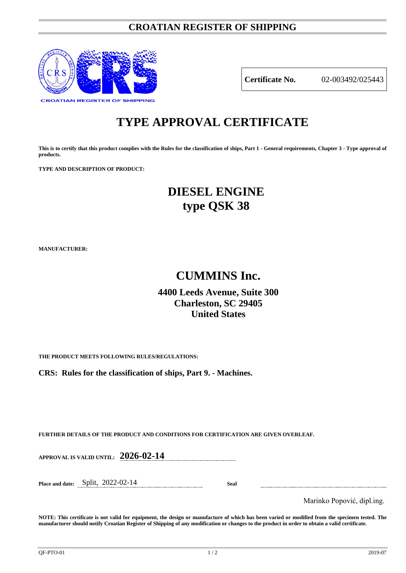### **CROATIAN REGISTER OF SHIPPING**



**Certificate No.** 02-003492/025443

# **TYPE APPROVAL CERTIFICATE**

**This is to certify that this product complies with the Rules for the classification of ships, Part 1 - General requirements, Chapter 3 - Type approval of products.**

**TYPE AND DESCRIPTION OF PRODUCT:** 

## **DIESEL ENGINE type QSK 38**

**MANUFACTURER:**

## **CUMMINS Inc.**

### **4400 Leeds Avenue, Suite 300 Charleston, SC 29405 United States**

**THE PRODUCT MEETS FOLLOWING RULES/REGULATIONS:**

**CRS: Rules for the classification of ships, Part 9. - Machines.**

**FURTHER DETAILS OF THE PRODUCT AND CONDITIONS FOR CERTIFICATION ARE GIVEN OVERLEAF.**

**APPROVAL IS VALID UNTIL: 2026-02-14**

**Place and date:** Split, 2022-02-14 **Seal**

Marinko Popović, dipl.ing.

**NOTE: This certificate is not valid for equipment, the design or manufacture of which has been varied or modified from the specimen tested. The manufacturer should notify Croatian Register of Shipping of any modification or changes to the product in order to obtain a valid certificate.**